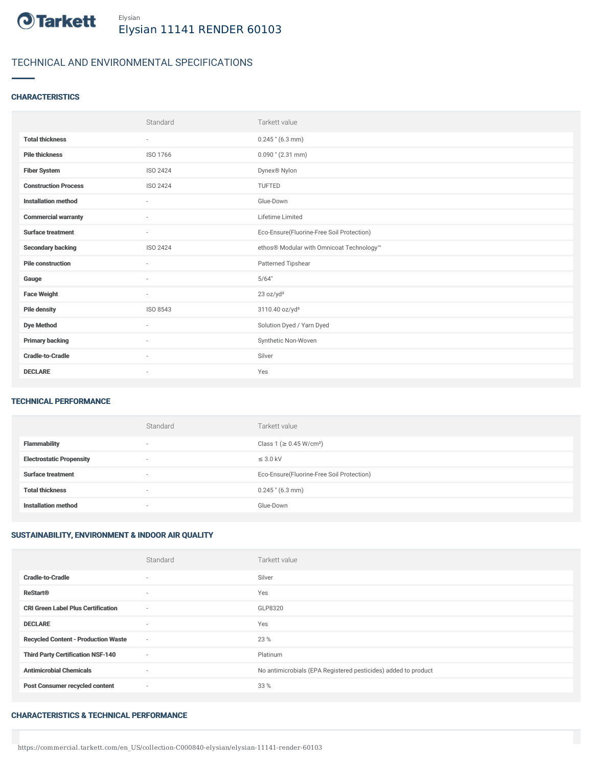

# TECHNICAL AND ENVIRONMENTAL SPECIFICATIONS

### **CHARACTERISTICS**

|                             | Standard                 | Tarkett value                             |
|-----------------------------|--------------------------|-------------------------------------------|
| <b>Total thickness</b>      | $\overline{\phantom{a}}$ | $0.245$ " (6.3 mm)                        |
| <b>Pile thickness</b>       | ISO 1766                 | $0.090$ " (2.31 mm)                       |
| <b>Fiber System</b>         | ISO 2424                 | Dynex® Nylon                              |
| <b>Construction Process</b> | <b>ISO 2424</b>          | TUFTED                                    |
| <b>Installation method</b>  | $\overline{\phantom{a}}$ | Glue-Down                                 |
| <b>Commercial warranty</b>  | $\sim$                   | Lifetime Limited                          |
| <b>Surface treatment</b>    | $\sim$                   | Eco-Ensure(Fluorine-Free Soil Protection) |
| <b>Secondary backing</b>    | <b>ISO 2424</b>          | ethos® Modular with Omnicoat Technology™  |
| <b>Pile construction</b>    | ٠                        | Patterned Tipshear                        |
| Gauge                       | $\sim$                   | 5/64"                                     |
| <b>Face Weight</b>          | $\overline{\phantom{a}}$ | 23 oz/yd <sup>2</sup>                     |
| <b>Pile density</b>         | ISO 8543                 | 3110.40 oz/yd <sup>3</sup>                |
| <b>Dye Method</b>           | ٠                        | Solution Dyed / Yarn Dyed                 |
| <b>Primary backing</b>      | $\sim$                   | Synthetic Non-Woven                       |
| <b>Cradle-to-Cradle</b>     | $\sim$                   | Silver                                    |
| <b>DECLARE</b>              | ٠                        | Yes                                       |

## TECHNICAL PERFORMANCE

|                                 | Standard                 | Tarkett value                             |
|---------------------------------|--------------------------|-------------------------------------------|
| <b>Flammability</b>             | $\overline{\phantom{a}}$ | Class 1 (≥ 0.45 W/cm <sup>2</sup> )       |
| <b>Electrostatic Propensity</b> | $\overline{\phantom{a}}$ | $\leq$ 3.0 kV                             |
| <b>Surface treatment</b>        | $\overline{\phantom{a}}$ | Eco-Ensure(Fluorine-Free Soil Protection) |
| <b>Total thickness</b>          | $\overline{\phantom{a}}$ | $0.245$ " (6.3 mm)                        |
| <b>Installation method</b>      | $\overline{\phantom{a}}$ | Glue-Down                                 |

### SUSTAINABILITY, ENVIRONMENT & INDOOR AIR QUALITY

|                                            | Standard | Tarkett value                                                  |
|--------------------------------------------|----------|----------------------------------------------------------------|
| <b>Cradle-to-Cradle</b>                    | $\sim$   | Silver                                                         |
| <b>ReStart®</b>                            | $\sim$   | Yes                                                            |
| <b>CRI Green Label Plus Certification</b>  | $\sim$   | GLP8320                                                        |
| <b>DECLARE</b>                             | $\sim$   | Yes                                                            |
| <b>Recycled Content - Production Waste</b> | $\sim$   | 23 %                                                           |
| <b>Third Party Certification NSF-140</b>   | $\sim$   | Platinum                                                       |
| <b>Antimicrobial Chemicals</b>             | $\sim$   | No antimicrobials (EPA Registered pesticides) added to product |
| <b>Post Consumer recycled content</b>      | $\sim$   | 33 %                                                           |

#### CHARACTERISTICS & TECHNICAL PERFORMANCE